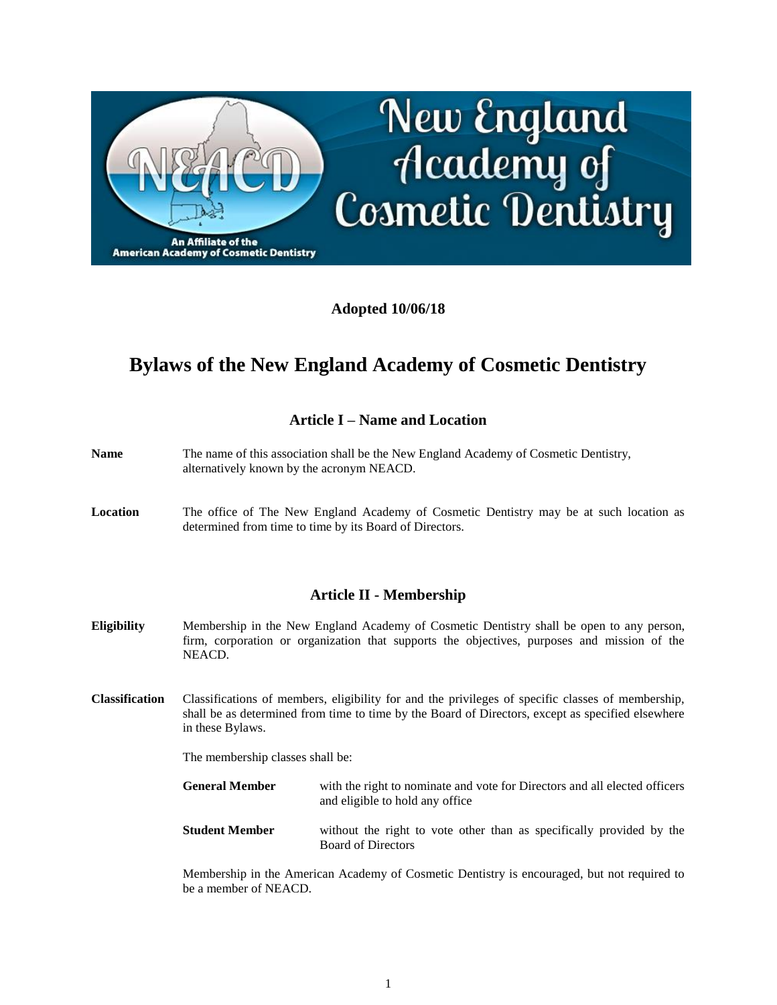

## **Adopted 10/06/18**

# **Bylaws of the New England Academy of Cosmetic Dentistry**

## **Article I – Name and Location**

- **Name** The name of this association shall be the New England Academy of Cosmetic Dentistry, alternatively known by the acronym NEACD.
- **Location** The office of The New England Academy of Cosmetic Dentistry may be at such location as determined from time to time by its Board of Directors.

#### **Article II - Membership**

- **Eligibility** Membership in the New England Academy of Cosmetic Dentistry shall be open to any person, firm, corporation or organization that supports the objectives, purposes and mission of the NEACD.
- **Classification** Classifications of members, eligibility for and the privileges of specific classes of membership, shall be as determined from time to time by the Board of Directors, except as specified elsewhere in these Bylaws.

The membership classes shall be:

**General Member** with the right to nominate and vote for Directors and all elected officers and eligible to hold any office

**Student Member** without the right to vote other than as specifically provided by the Board of Directors

Membership in the American Academy of Cosmetic Dentistry is encouraged, but not required to be a member of NEACD.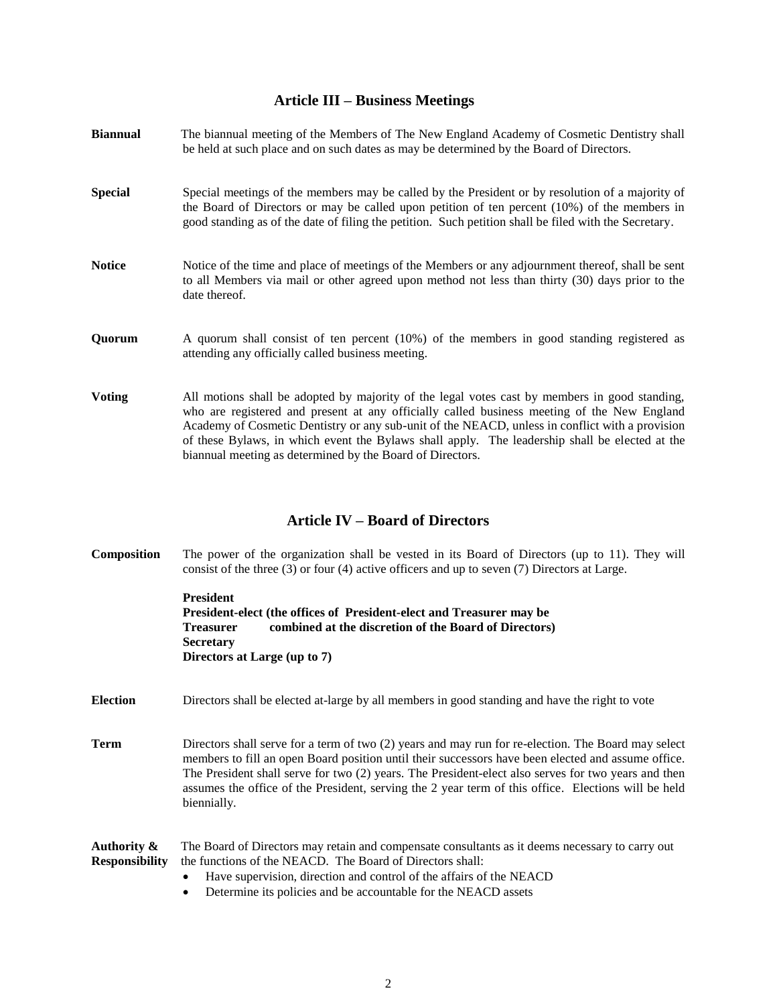#### **Article III – Business Meetings**

| <b>Biannual</b> | The biannual meeting of the Members of The New England Academy of Cosmetic Dentistry shall<br>be held at such place and on such dates as may be determined by the Board of Directors.                                                                                                                                                                                                             |  |
|-----------------|---------------------------------------------------------------------------------------------------------------------------------------------------------------------------------------------------------------------------------------------------------------------------------------------------------------------------------------------------------------------------------------------------|--|
| <b>Special</b>  | Special meetings of the members may be called by the President or by resolution of a majority of<br>the Board of Directors or may be called upon petition of ten percent (10%) of the members in<br>good standing as of the date of filing the petition. Such petition shall be filed with the Secretary.                                                                                         |  |
| <b>Notice</b>   | Notice of the time and place of meetings of the Members or any adjournment thereof, shall be sent<br>to all Members via mail or other agreed upon method not less than thirty (30) days prior to the<br>date thereof.                                                                                                                                                                             |  |
| Quorum          | A quorum shall consist of ten percent (10%) of the members in good standing registered as<br>attending any officially called business meeting.                                                                                                                                                                                                                                                    |  |
| <b>Voting</b>   | All motions shall be adopted by majority of the legal votes cast by members in good standing,<br>who are registered and present at any officially called business meeting of the New England<br>Academy of Cosmetic Dentistry or any sub-unit of the NEACD, unless in conflict with a provision<br>of these Bylaws, in which event the Bylaws shall apply. The leadership shall be elected at the |  |

#### **Article IV – Board of Directors**

biannual meeting as determined by the Board of Directors.

**Composition** The power of the organization shall be vested in its Board of Directors (up to 11). They will consist of the three (3) or four (4) active officers and up to seven (7) Directors at Large.

| <b>President</b> |                                                                      |
|------------------|----------------------------------------------------------------------|
|                  | President-elect (the offices of President-elect and Treasurer may be |
| <b>Treasurer</b> | combined at the discretion of the Board of Directors)                |
| <b>Secretary</b> |                                                                      |
|                  | Directors at Large (up to 7)                                         |

**Election** Directors shall be elected at-large by all members in good standing and have the right to vote

**Term** Directors shall serve for a term of two (2) years and may run for re-election. The Board may select members to fill an open Board position until their successors have been elected and assume office. The President shall serve for two (2) years. The President-elect also serves for two years and then assumes the office of the President, serving the 2 year term of this office. Elections will be held biennially.

#### **Authority &** The Board of Directors may retain and compensate consultants as it deems necessary to carry out **Responsibility** the functions of the NEACD. The Board of Directors shall:

- Have supervision, direction and control of the affairs of the NEACD
- Determine its policies and be accountable for the NEACD assets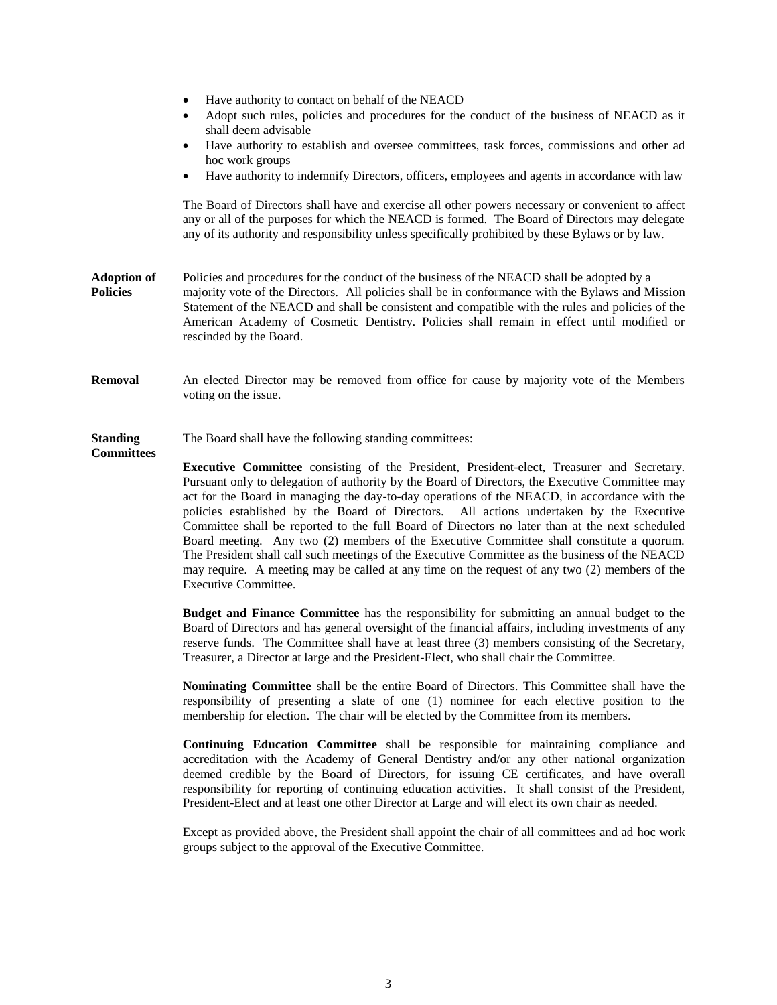- Have authority to contact on behalf of the NEACD
- Adopt such rules, policies and procedures for the conduct of the business of NEACD as it shall deem advisable
- Have authority to establish and oversee committees, task forces, commissions and other ad hoc work groups
- Have authority to indemnify Directors, officers, employees and agents in accordance with law

The Board of Directors shall have and exercise all other powers necessary or convenient to affect any or all of the purposes for which the NEACD is formed. The Board of Directors may delegate any of its authority and responsibility unless specifically prohibited by these Bylaws or by law.

- **Adoption of** Policies and procedures for the conduct of the business of the NEACD shall be adopted by a **Policies** majority vote of the Directors. All policies shall be in conformance with the Bylaws and Mission Statement of the NEACD and shall be consistent and compatible with the rules and policies of the American Academy of Cosmetic Dentistry. Policies shall remain in effect until modified or rescinded by the Board.
- **Removal** An elected Director may be removed from office for cause by majority vote of the Members voting on the issue.

**Standing** The Board shall have the following standing committees: **Committees**

> **Executive Committee** consisting of the President, President-elect, Treasurer and Secretary. Pursuant only to delegation of authority by the Board of Directors, the Executive Committee may act for the Board in managing the day-to-day operations of the NEACD, in accordance with the policies established by the Board of Directors. All actions undertaken by the Executive Committee shall be reported to the full Board of Directors no later than at the next scheduled Board meeting. Any two (2) members of the Executive Committee shall constitute a quorum. The President shall call such meetings of the Executive Committee as the business of the NEACD may require. A meeting may be called at any time on the request of any two (2) members of the Executive Committee.

> **Budget and Finance Committee** has the responsibility for submitting an annual budget to the Board of Directors and has general oversight of the financial affairs, including investments of any reserve funds. The Committee shall have at least three (3) members consisting of the Secretary, Treasurer, a Director at large and the President-Elect, who shall chair the Committee.

> **Nominating Committee** shall be the entire Board of Directors. This Committee shall have the responsibility of presenting a slate of one (1) nominee for each elective position to the membership for election. The chair will be elected by the Committee from its members.

> **Continuing Education Committee** shall be responsible for maintaining compliance and accreditation with the Academy of General Dentistry and/or any other national organization deemed credible by the Board of Directors, for issuing CE certificates, and have overall responsibility for reporting of continuing education activities. It shall consist of the President, President-Elect and at least one other Director at Large and will elect its own chair as needed.

> Except as provided above, the President shall appoint the chair of all committees and ad hoc work groups subject to the approval of the Executive Committee.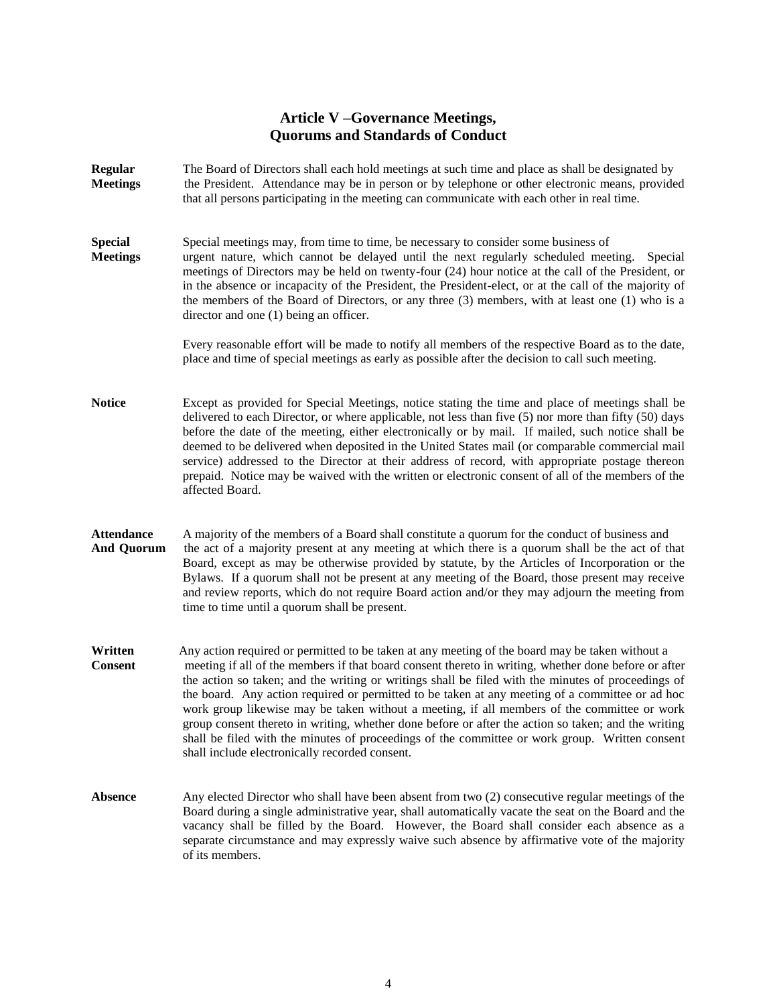## **Article V –Governance Meetings, Quorums and Standards of Conduct**

**Regular** The Board of Directors shall each hold meetings at such time and place as shall be designated by **Meetings** the President. Attendance may be in person or by telephone or other electronic means, provided that all persons participating in the meeting can communicate with each other in real time. **Special** Special meetings may, from time to time, be necessary to consider some business of **Meetings** urgent nature, which cannot be delayed until the next regularly scheduled meeting. Special meetings of Directors may be held on twenty-four (24) hour notice at the call of the President, or in the absence or incapacity of the President, the President-elect, or at the call of the majority of the members of the Board of Directors, or any three (3) members, with at least one (1) who is a director and one (1) being an officer. Every reasonable effort will be made to notify all members of the respective Board as to the date, place and time of special meetings as early as possible after the decision to call such meeting. **Notice** Except as provided for Special Meetings, notice stating the time and place of meetings shall be delivered to each Director, or where applicable, not less than five (5) nor more than fifty (50) days before the date of the meeting, either electronically or by mail. If mailed, such notice shall be deemed to be delivered when deposited in the United States mail (or comparable commercial mail service) addressed to the Director at their address of record, with appropriate postage thereon prepaid. Notice may be waived with the written or electronic consent of all of the members of the affected Board. **Attendance** A majority of the members of a Board shall constitute a quorum for the conduct of business and **And Quorum** the act of a majority present at any meeting at which there is a quorum shall be the act of that Board, except as may be otherwise provided by statute, by the Articles of Incorporation or the Bylaws. If a quorum shall not be present at any meeting of the Board, those present may receive and review reports, which do not require Board action and/or they may adjourn the meeting from time to time until a quorum shall be present. **Written** Any action required or permitted to be taken at any meeting of the board may be taken without a **Consent** meeting if all of the members if that board consent thereto in writing, whether done before or after the action so taken; and the writing or writings shall be filed with the minutes of proceedings of the board. Any action required or permitted to be taken at any meeting of a committee or ad hoc work group likewise may be taken without a meeting, if all members of the committee or work group consent thereto in writing, whether done before or after the action so taken; and the writing shall be filed with the minutes of proceedings of the committee or work group. Written consent shall include electronically recorded consent. Absence Any elected Director who shall have been absent from two (2) consecutive regular meetings of the Board during a single administrative year, shall automatically vacate the seat on the Board and the vacancy shall be filled by the Board. However, the Board shall consider each absence as a

of its members.

separate circumstance and may expressly waive such absence by affirmative vote of the majority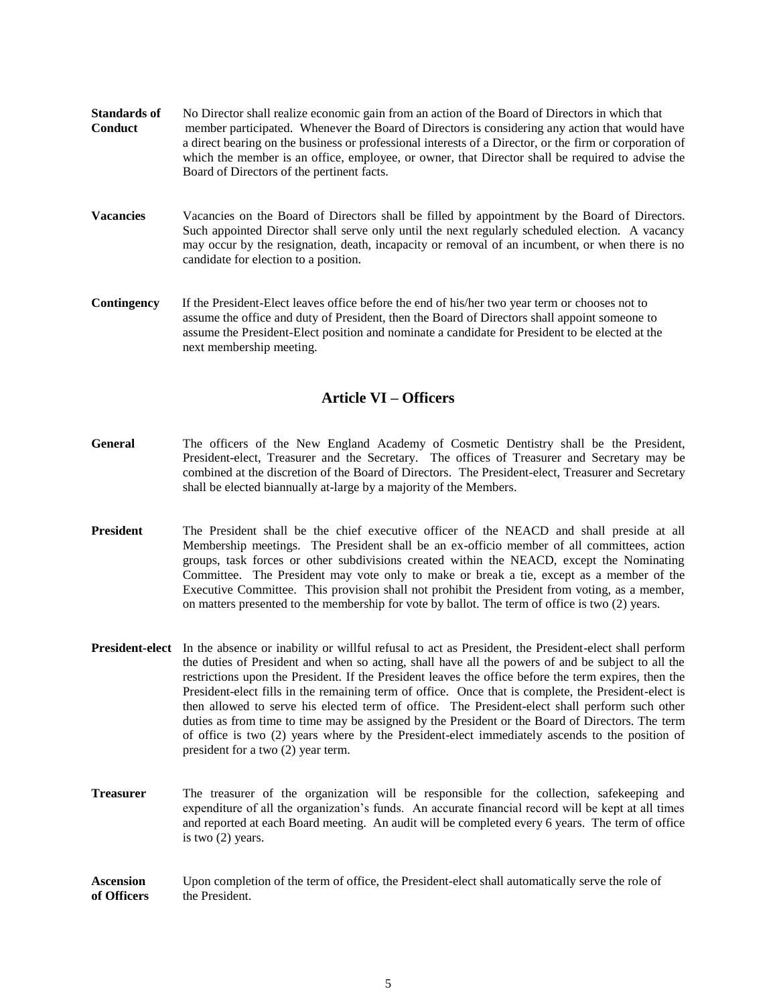| <b>Standards of</b> | No Director shall realize economic gain from an action of the Board of Directors in which that          |  |  |
|---------------------|---------------------------------------------------------------------------------------------------------|--|--|
| <b>Conduct</b>      | member participated. Whenever the Board of Directors is considering any action that would have          |  |  |
|                     | a direct bearing on the business or professional interests of a Director, or the firm or corporation of |  |  |
|                     | which the member is an office, employee, or owner, that Director shall be required to advise the        |  |  |
|                     | Board of Directors of the pertinent facts.                                                              |  |  |
|                     |                                                                                                         |  |  |

- **Vacancies** Vacancies on the Board of Directors shall be filled by appointment by the Board of Directors. Such appointed Director shall serve only until the next regularly scheduled election. A vacancy may occur by the resignation, death, incapacity or removal of an incumbent, or when there is no candidate for election to a position.
- **Contingency** If the President-Elect leaves office before the end of his/her two year term or chooses not to assume the office and duty of President, then the Board of Directors shall appoint someone to assume the President-Elect position and nominate a candidate for President to be elected at the next membership meeting.

#### **Article VI – Officers**

- **General** The officers of the New England Academy of Cosmetic Dentistry shall be the President, President-elect, Treasurer and the Secretary. The offices of Treasurer and Secretary may be combined at the discretion of the Board of Directors. The President-elect, Treasurer and Secretary shall be elected biannually at-large by a majority of the Members.
- **President** The President shall be the chief executive officer of the NEACD and shall preside at all Membership meetings. The President shall be an ex-officio member of all committees, action groups, task forces or other subdivisions created within the NEACD, except the Nominating Committee. The President may vote only to make or break a tie, except as a member of the Executive Committee. This provision shall not prohibit the President from voting, as a member, on matters presented to the membership for vote by ballot. The term of office is two (2) years.
- **President-elect** In the absence or inability or willful refusal to act as President, the President-elect shall perform the duties of President and when so acting, shall have all the powers of and be subject to all the restrictions upon the President. If the President leaves the office before the term expires, then the President-elect fills in the remaining term of office. Once that is complete, the President-elect is then allowed to serve his elected term of office. The President-elect shall perform such other duties as from time to time may be assigned by the President or the Board of Directors. The term of office is two (2) years where by the President-elect immediately ascends to the position of president for a two (2) year term.
- **Treasurer** The treasurer of the organization will be responsible for the collection, safekeeping and expenditure of all the organization's funds. An accurate financial record will be kept at all times and reported at each Board meeting. An audit will be completed every 6 years. The term of office is two (2) years.
- **Ascension** Upon completion of the term of office, the President-elect shall automatically serve the role of **of Officers** the President.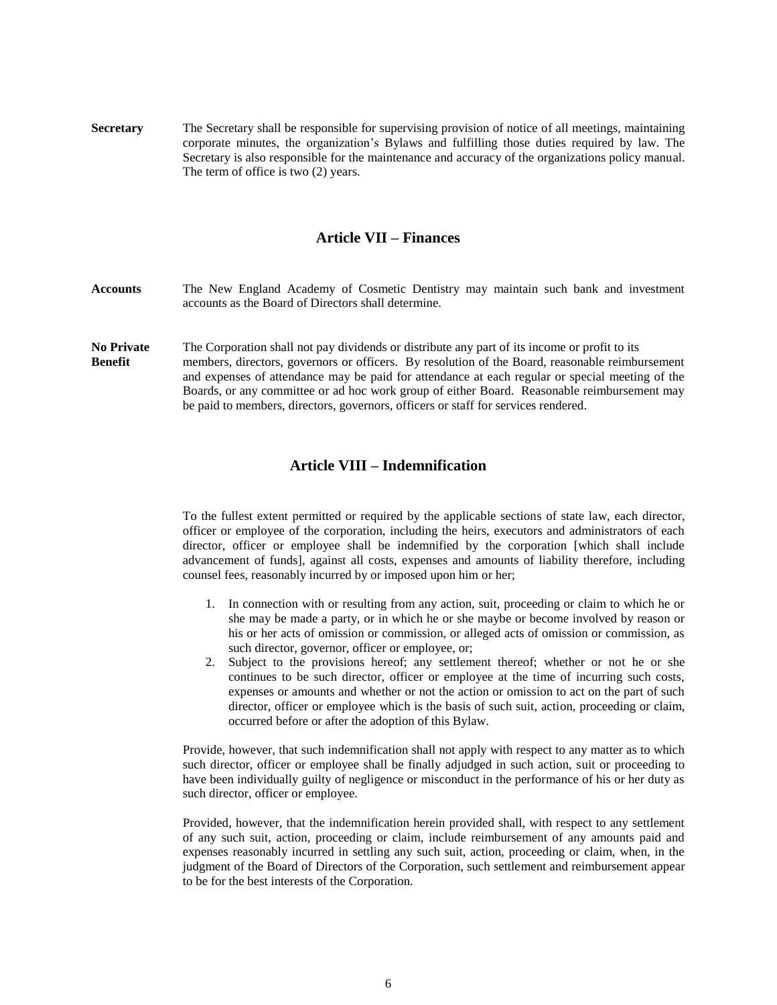**Secretary** The Secretary shall be responsible for supervising provision of notice of all meetings, maintaining corporate minutes, the organization's Bylaws and fulfilling those duties required by law. The Secretary is also responsible for the maintenance and accuracy of the organizations policy manual. The term of office is two (2) years.

#### **Article VII – Finances**

- **Accounts** The New England Academy of Cosmetic Dentistry may maintain such bank and investment accounts as the Board of Directors shall determine.
- **No Private** The Corporation shall not pay dividends or distribute any part of its income or profit to its **Benefit** members, directors, governors or officers. By resolution of the Board, reasonable reimbursement and expenses of attendance may be paid for attendance at each regular or special meeting of the Boards, or any committee or ad hoc work group of either Board. Reasonable reimbursement may be paid to members, directors, governors, officers or staff for services rendered.

## **Article VIII – Indemnification**

To the fullest extent permitted or required by the applicable sections of state law, each director, officer or employee of the corporation, including the heirs, executors and administrators of each director, officer or employee shall be indemnified by the corporation [which shall include advancement of funds], against all costs, expenses and amounts of liability therefore, including counsel fees, reasonably incurred by or imposed upon him or her;

- 1. In connection with or resulting from any action, suit, proceeding or claim to which he or she may be made a party, or in which he or she maybe or become involved by reason or his or her acts of omission or commission, or alleged acts of omission or commission, as such director, governor, officer or employee, or;
- 2. Subject to the provisions hereof; any settlement thereof; whether or not he or she continues to be such director, officer or employee at the time of incurring such costs, expenses or amounts and whether or not the action or omission to act on the part of such director, officer or employee which is the basis of such suit, action, proceeding or claim, occurred before or after the adoption of this Bylaw.

Provide, however, that such indemnification shall not apply with respect to any matter as to which such director, officer or employee shall be finally adjudged in such action, suit or proceeding to have been individually guilty of negligence or misconduct in the performance of his or her duty as such director, officer or employee.

Provided, however, that the indemnification herein provided shall, with respect to any settlement of any such suit, action, proceeding or claim, include reimbursement of any amounts paid and expenses reasonably incurred in settling any such suit, action, proceeding or claim, when, in the judgment of the Board of Directors of the Corporation, such settlement and reimbursement appear to be for the best interests of the Corporation.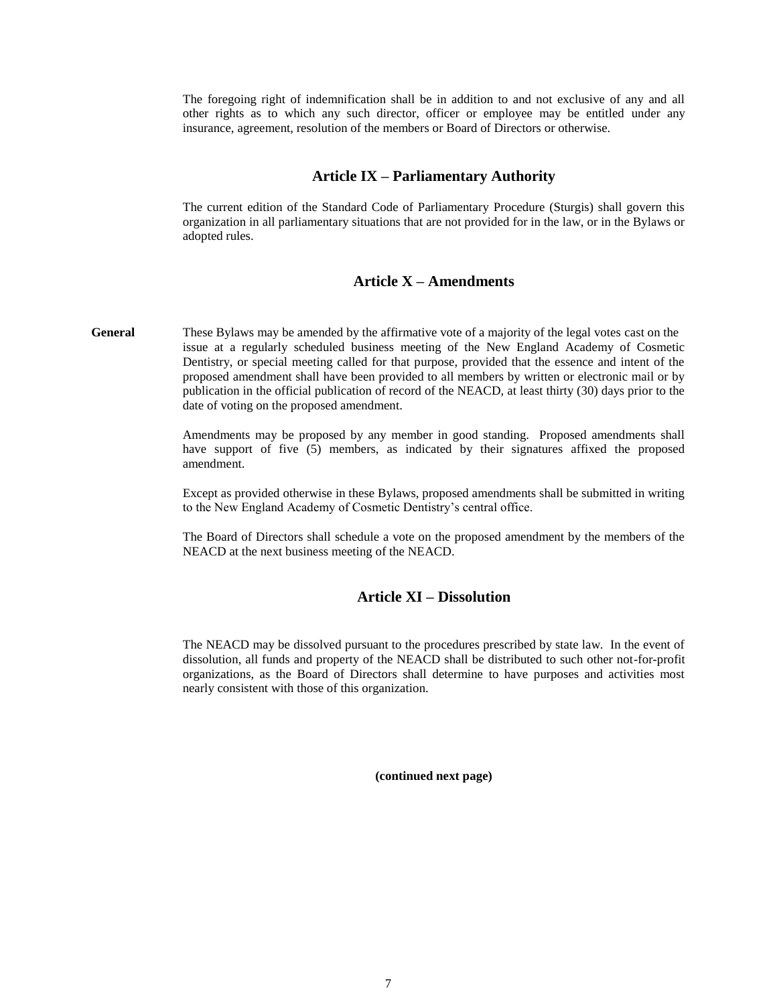The foregoing right of indemnification shall be in addition to and not exclusive of any and all other rights as to which any such director, officer or employee may be entitled under any insurance, agreement, resolution of the members or Board of Directors or otherwise.

## **Article IX – Parliamentary Authority**

The current edition of the Standard Code of Parliamentary Procedure (Sturgis) shall govern this organization in all parliamentary situations that are not provided for in the law, or in the Bylaws or adopted rules.

## **Article X – Amendments**

**General** These Bylaws may be amended by the affirmative vote of a majority of the legal votes cast on the issue at a regularly scheduled business meeting of the New England Academy of Cosmetic Dentistry, or special meeting called for that purpose, provided that the essence and intent of the proposed amendment shall have been provided to all members by written or electronic mail or by publication in the official publication of record of the NEACD, at least thirty (30) days prior to the date of voting on the proposed amendment.

> Amendments may be proposed by any member in good standing. Proposed amendments shall have support of five (5) members, as indicated by their signatures affixed the proposed amendment.

> Except as provided otherwise in these Bylaws, proposed amendments shall be submitted in writing to the New England Academy of Cosmetic Dentistry's central office.

> The Board of Directors shall schedule a vote on the proposed amendment by the members of the NEACD at the next business meeting of the NEACD.

### **Article XI – Dissolution**

The NEACD may be dissolved pursuant to the procedures prescribed by state law. In the event of dissolution, all funds and property of the NEACD shall be distributed to such other not-for-profit organizations, as the Board of Directors shall determine to have purposes and activities most nearly consistent with those of this organization.

**(continued next page)**